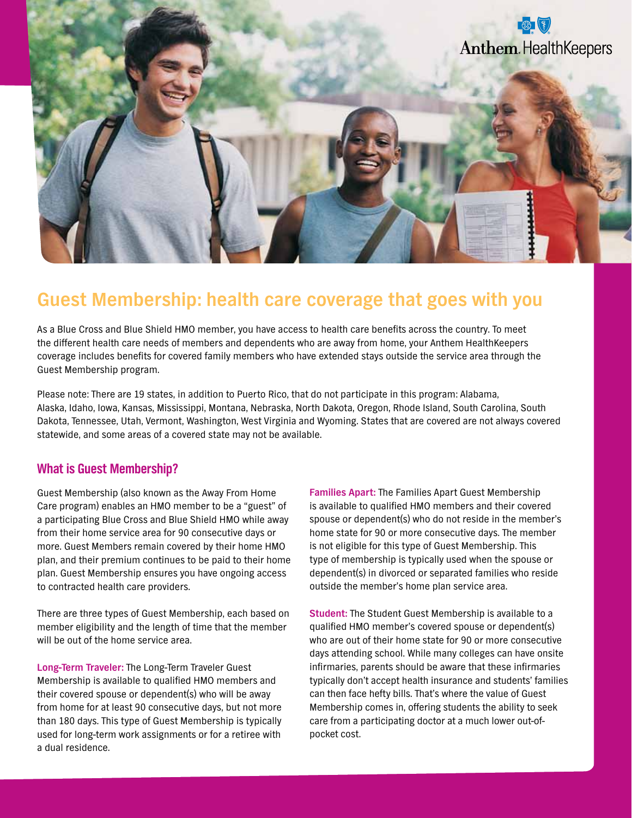

# **Guest Membership: health care coverage that goes with you**

As a Blue Cross and Blue Shield HMO member, you have access to health care benefits across the country. To meet the different health care needs of members and dependents who are away from home, your Anthem HealthKeepers coverage includes benefits for covered family members who have extended stays outside the service area through the Guest Membership program.

Please note: There are 19 states, in addition to Puerto Rico, that do not participate in this program: Alabama, Alaska, Idaho, Iowa, Kansas, Mississippi, Montana, Nebraska, North Dakota, Oregon, Rhode Island, South Carolina, South Dakota, Tennessee, Utah, Vermont, Washington, West Virginia and Wyoming. States that are covered are not always covered statewide, and some areas of a covered state may not be available.

### **What is Guest Membership?**

Guest Membership (also known as the Away From Home Care program) enables an HMO member to be a "guest" of a participating Blue Cross and Blue Shield HMO while away from their home service area for 90 consecutive days or more. Guest Members remain covered by their home HMO plan, and their premium continues to be paid to their home plan. Guest Membership ensures you have ongoing access to contracted health care providers.

There are three types of Guest Membership, each based on member eligibility and the length of time that the member will be out of the home service area.

**Long-Term Traveler:** The Long-Term Traveler Guest Membership is available to qualified HMO members and their covered spouse or dependent(s) who will be away from home for at least 90 consecutive days, but not more than 180 days. This type of Guest Membership is typically used for long-term work assignments or for a retiree with a dual residence.

**Families Apart:** The Families Apart Guest Membership is available to qualified HMO members and their covered spouse or dependent(s) who do not reside in the member's home state for 90 or more consecutive days. The member is not eligible for this type of Guest Membership. This type of membership is typically used when the spouse or dependent(s) in divorced or separated families who reside outside the member's home plan service area.

**Student:** The Student Guest Membership is available to a qualified HMO member's covered spouse or dependent(s) who are out of their home state for 90 or more consecutive days attending school. While many colleges can have onsite infirmaries, parents should be aware that these infirmaries typically don't accept health insurance and students' families can then face hefty bills. That's where the value of Guest Membership comes in, offering students the ability to seek care from a participating doctor at a much lower out-ofpocket cost.